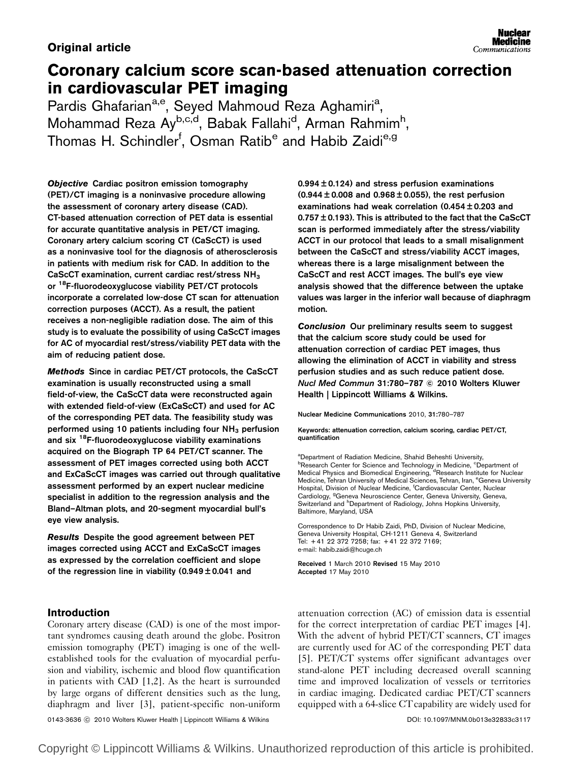## **Original article**

# Coronary calcium score scan-based attenuation correction in cardiovascular PET imaging

Pardis Ghafarian<sup>a,e</sup>, Seyed Mahmoud Reza Aghamiri<sup>a</sup>, Mohammad Reza Ay<sup>b,c,d</sup>, Babak Fallahi<sup>d</sup>, Arman Rahmim<sup>h</sup>, Thomas H. Schindler<sup>f</sup>, Osman Ratib<sup>e</sup> and Habib Zaidi<sup>e,g</sup>

Objective Cardiac positron emission tomography (PET)/CT imaging is a noninvasive procedure allowing the assessment of coronary artery disease (CAD). CT-based attenuation correction of PET data is essential for accurate quantitative analysis in PET/CT imaging. Coronary artery calcium scoring CT (CaScCT) is used as a noninvasive tool for the diagnosis of atherosclerosis in patients with medium risk for CAD. In addition to the CaScCT examination, current cardiac rest/stress NH3 or <sup>18</sup>F-fluorodeoxyglucose viability PET/CT protocols incorporate a correlated low-dose CT scan for attenuation correction purposes (ACCT). As a result, the patient receives a non-negligible radiation dose. The aim of this study is to evaluate the possibility of using CaScCT images for AC of myocardial rest/stress/viability PET data with the aim of reducing patient dose.

Methods Since in cardiac PET/CT protocols, the CaScCT examination is usually reconstructed using a small field-of-view, the CaScCT data were reconstructed again with extended field-of-view (ExCaScCT) and used for AC of the corresponding PET data. The feasibility study was performed using 10 patients including four  $NH<sub>3</sub>$  perfusion and six <sup>18</sup>F-fluorodeoxyglucose viability examinations acquired on the Biograph TP 64 PET/CT scanner. The assessment of PET images corrected using both ACCT and ExCaScCT images was carried out through qualitative assessment performed by an expert nuclear medicine specialist in addition to the regression analysis and the Bland–Altman plots, and 20-segment myocardial bull's eye view analysis.

Results Despite the good agreement between PET images corrected using ACCT and ExCaScCT images as expressed by the correlation coefficient and slope of the regression line in viability  $(0.949 \pm 0.041$  and

 $0.994 \pm 0.124$ ) and stress perfusion examinations  $(0.944 \pm 0.008$  and  $0.968 \pm 0.055)$ , the rest perfusion examinations had weak correlation (0.454 ± 0.203 and 0.757 ± 0.193). This is attributed to the fact that the CaScCT scan is performed immediately after the stress/viability ACCT in our protocol that leads to a small misalignment between the CaScCT and stress/viability ACCT images, whereas there is a large misalignment between the CaScCT and rest ACCT images. The bull's eye view analysis showed that the difference between the uptake values was larger in the inferior wall because of diaphragm motion.

Conclusion Our preliminary results seem to suggest that the calcium score study could be used for attenuation correction of cardiac PET images, thus allowing the elimination of ACCT in viability and stress perfusion studies and as such reduce patient dose. Nucl Med Commun 31:780–787 © 2010 Wolters Kluwer Health | Lippincott Williams & Wilkins.

Nuclear Medicine Communications 2010, 31:780–787

Keywords: attenuation correction, calcium scoring, cardiac PET/CT, quantification

<sup>a</sup>Department of Radiation Medicine, Shahid Beheshti University, <sup>b</sup>Research Center for Science and Technology in Medicine, <sup>c</sup>Department of Medical Physics and Biomedical Engineering, <sup>d</sup>Research Institute for Nuclear Medicine, Tehran University of Medical Sciences, Tehran, Iran, <sup>e</sup>Geneva University Hospital, Division of Nuclear Medicine, <sup>f</sup>Cardiovascular Center, Nuclear Cardiology, <sup>9</sup>Geneva Neuroscience Center, Geneva University, Geneva, Switzerland and <sup>h</sup>Department of Radiology, Johns Hopkins University, Baltimore, Maryland, USA

Correspondence to Dr Habib Zaidi, PhD, Division of Nuclear Medicine, Geneva University Hospital, CH-1211 Geneva 4, Switzerland Tel: + 41 22 372 7258; fax: + 41 22 372 7169; e-mail: habib.zaidi@hcuge.ch

Received 1 March 2010 Revised 15 May 2010 Accepted 17 May 2010

## Introduction

Coronary artery disease (CAD) is one of the most important syndromes causing death around the globe. Positron emission tomography (PET) imaging is one of the wellestablished tools for the evaluation of myocardial perfusion and viability, ischemic and blood flow quantification in patients with CAD [1,2]. As the heart is surrounded by large organs of different densities such as the lung, diaphragm and liver [3], patient-specific non-uniform

0143-3636 ⓒ 2010 Wolters Kluwer Health | Lippincott Williams & Wilkins DOI: 10.1097/MNM.0b013e32833c3117

With the advent of hybrid PET/CT scanners, CT images are currently used for AC of the corresponding PET data [5]. PET/CT systems offer significant advantages over stand-alone PET including decreased overall scanning time and improved localization of vessels or territories in cardiac imaging. Dedicated cardiac PET/CT scanners equipped with a 64-slice CT capability are widely used for

attenuation correction (AC) of emission data is essential for the correct interpretation of cardiac PET images [4].

Copyright © Lippincott Williams & Wilkins. Unauthorized reproduction of this article is prohibited.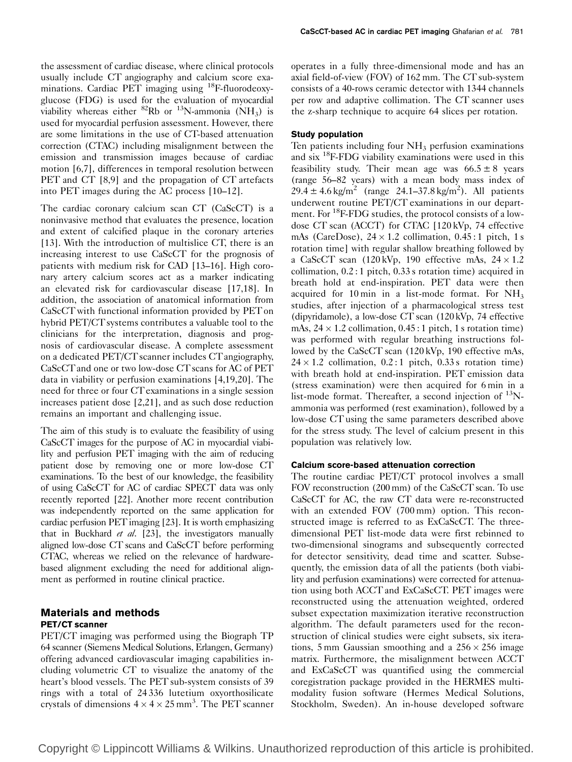the assessment of cardiac disease, where clinical protocols usually include CT angiography and calcium score examinations. Cardiac PET imaging using <sup>18</sup>F-fluorodeoxyglucose (FDG) is used for the evaluation of myocardial viability whereas either  ${}^{82}$ Rb or  ${}^{13}$ N-ammonia (NH<sub>3</sub>) is used for myocardial perfusion assessment. However, there are some limitations in the use of CT-based attenuation correction (CTAC) including misalignment between the emission and transmission images because of cardiac motion [6,7], differences in temporal resolution between PET and CT [8,9] and the propagation of CT artefacts into PET images during the AC process [10–12].

The cardiac coronary calcium scan CT (CaScCT) is a noninvasive method that evaluates the presence, location and extent of calcified plaque in the coronary arteries [13]. With the introduction of multislice CT, there is an increasing interest to use CaScCT for the prognosis of patients with medium risk for CAD [13–16]. High coronary artery calcium scores act as a marker indicating an elevated risk for cardiovascular disease [17,18]. In addition, the association of anatomical information from CaScCT with functional information provided by PET on hybrid PET/CT systems contributes a valuable tool to the clinicians for the interpretation, diagnosis and prognosis of cardiovascular disease. A complete assessment on a dedicated PET/CT scanner includes CT angiography, CaScCT and one or two low-dose CT scans for AC of PET data in viability or perfusion examinations [4,19,20]. The need for three or four CT examinations in a single session increases patient dose [2,21], and as such dose reduction remains an important and challenging issue.

The aim of this study is to evaluate the feasibility of using CaScCT images for the purpose of AC in myocardial viability and perfusion PET imaging with the aim of reducing patient dose by removing one or more low-dose CT examinations. To the best of our knowledge, the feasibility of using CaScCT for AC of cardiac SPECT data was only recently reported [22]. Another more recent contribution was independently reported on the same application for cardiac perfusion PET imaging [23]. It is worth emphasizing that in Buckhard et al.  $[23]$ , the investigators manually aligned low-dose CT scans and CaScCT before performing CTAC, whereas we relied on the relevance of hardwarebased alignment excluding the need for additional alignment as performed in routine clinical practice.

## Materials and methods PET/CT scanner

PET/CT imaging was performed using the Biograph TP 64 scanner (Siemens Medical Solutions, Erlangen, Germany) offering advanced cardiovascular imaging capabilities including volumetric CT to visualize the anatomy of the heart's blood vessels. The PET sub-system consists of 39 rings with a total of 24 336 lutetium oxyorthosilicate crystals of dimensions  $4 \times 4 \times 25$  mm<sup>3</sup>. The PET scanner

operates in a fully three-dimensional mode and has an axial field-of-view (FOV) of 162 mm. The CT sub-system consists of a 40-rows ceramic detector with 1344 channels per row and adaptive collimation. The CT scanner uses the z-sharp technique to acquire 64 slices per rotation.

## Study population

Ten patients including four  $NH<sub>3</sub>$  perfusion examinations and six 18F-FDG viability examinations were used in this feasibility study. Their mean age was  $66.5 \pm 8$  years (range 56–82 years) with a mean body mass index of  $29.4 \pm 4.6 \text{ kg/m}^2$  (range 24.1–37.8 kg/m<sup>2</sup>). All patients underwent routine PET/CT examinations in our department. For <sup>18</sup>F-FDG studies, the protocol consists of a lowdose CT scan (ACCT) for CTAC [120 kVp, 74 effective mAs (CareDose),  $24 \times 1.2$  collimation,  $0.45:1$  pitch, 1 s rotation time] with regular shallow breathing followed by a CaScCT scan  $(120 \text{ kVp}, 190 \text{ effective mAs}, 24 \times 1.2)$ collimation, 0.2 : 1 pitch, 0.33 s rotation time) acquired in breath hold at end-inspiration. PET data were then acquired for 10 min in a list-mode format. For  $NH<sub>3</sub>$ studies, after injection of a pharmacological stress test (dipyridamole), a low-dose CT scan (120 kVp, 74 effective mAs,  $24 \times 1.2$  collimation,  $0.45:1$  pitch, 1 s rotation time) was performed with regular breathing instructions followed by the CaScCT scan (120 kVp, 190 effective mAs,  $24 \times 1.2$  collimation,  $0.2:1$  pitch,  $0.33$  s rotation time) with breath hold at end-inspiration. PET emission data (stress examination) were then acquired for 6 min in a list-mode format. Thereafter, a second injection of  $^{13}$ Nammonia was performed (rest examination), followed by a low-dose CT using the same parameters described above for the stress study. The level of calcium present in this population was relatively low.

## Calcium score-based attenuation correction

The routine cardiac PET/CT protocol involves a small FOV reconstruction (200 mm) of the CaScCT scan. To use CaScCT for AC, the raw CT data were re-reconstructed with an extended FOV (700 mm) option. This reconstructed image is referred to as ExCaScCT. The threedimensional PET list-mode data were first rebinned to two-dimensional sinograms and subsequently corrected for detector sensitivity, dead time and scatter. Subsequently, the emission data of all the patients (both viability and perfusion examinations) were corrected for attenuation using both ACCT and ExCaScCT. PET images were reconstructed using the attenuation weighted, ordered subset expectation maximization iterative reconstruction algorithm. The default parameters used for the reconstruction of clinical studies were eight subsets, six iterations, 5 mm Gaussian smoothing and a  $256 \times 256$  image matrix. Furthermore, the misalignment between ACCT and ExCaScCT was quantified using the commercial coregistration package provided in the HERMES multimodality fusion software (Hermes Medical Solutions, Stockholm, Sweden). An in-house developed software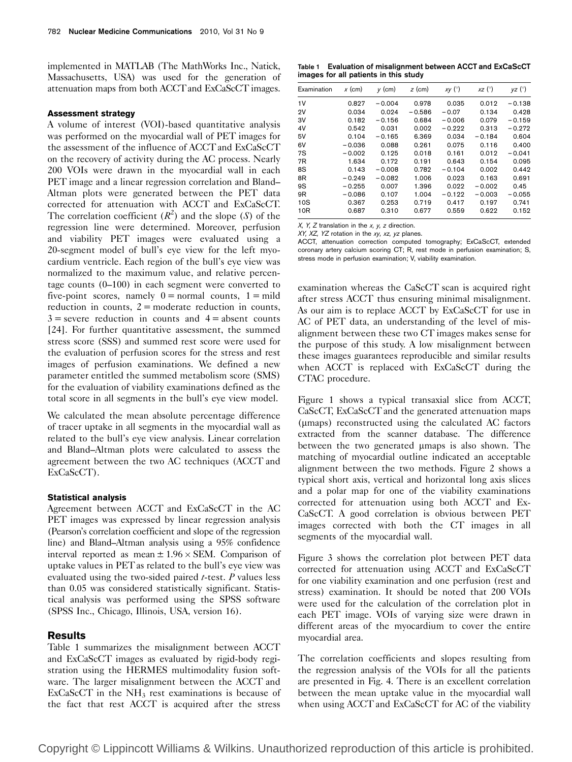implemented in MATLAB (The MathWorks Inc., Natick, Massachusetts, USA) was used for the generation of attenuation maps from both ACCT and ExCaScCT images.

#### Assessment strategy

A volume of interest (VOI)-based quantitative analysis was performed on the myocardial wall of PET images for the assessment of the influence of ACCT and ExCaScCT on the recovery of activity during the AC process. Nearly 200 VOIs were drawn in the myocardial wall in each PET image and a linear regression correlation and Bland– Altman plots were generated between the PET data corrected for attenuation with ACCT and ExCaScCT. The correlation coefficient  $(R^2)$  and the slope  $(S)$  of the regression line were determined. Moreover, perfusion and viability PET images were evaluated using a 20-segment model of bull's eye view for the left myocardium ventricle. Each region of the bull's eye view was normalized to the maximum value, and relative percentage counts (0–100) in each segment were converted to five-point scores, namely  $0 =$  normal counts,  $1 =$  mild reduction in counts,  $2 =$  moderate reduction in counts,  $3$  = severe reduction in counts and  $4$  = absent counts [24]. For further quantitative assessment, the summed stress score (SSS) and summed rest score were used for the evaluation of perfusion scores for the stress and rest images of perfusion examinations. We defined a new parameter entitled the summed metabolism score (SMS) for the evaluation of viability examinations defined as the total score in all segments in the bull's eye view model.

We calculated the mean absolute percentage difference of tracer uptake in all segments in the myocardial wall as related to the bull's eye view analysis. Linear correlation and Bland–Altman plots were calculated to assess the agreement between the two AC techniques (ACCT and ExCaScCT).

#### Statistical analysis

Agreement between ACCT and ExCaScCT in the AC PET images was expressed by linear regression analysis (Pearson's correlation coefficient and slope of the regression line) and Bland–Altman analysis using a 95% confidence interval reported as mean  $\pm 1.96 \times$  SEM. Comparison of uptake values in PET as related to the bull's eye view was evaluated using the two-sided paired  $t$ -test.  $P$  values less than 0.05 was considered statistically significant. Statistical analysis was performed using the SPSS software (SPSS Inc., Chicago, Illinois, USA, version 16).

#### **Results**

Table 1 summarizes the misalignment between ACCT and ExCaScCT images as evaluated by rigid-body registration using the HERMES multimodality fusion software. The larger misalignment between the ACCT and  $ExCaScCT$  in the  $NH<sub>3</sub>$  rest examinations is because of the fact that rest ACCT is acquired after the stress

Table 1 Evaluation of misalignment between ACCT and ExCaScCT images for all patients in this study

| Examination     | $x$ (cm) | $y$ (cm) | $z$ (cm) | $xy$ ( $\circ$ ) | $xz$ ( $\circ$ ) | $yz$ ( $\degree$ ) |
|-----------------|----------|----------|----------|------------------|------------------|--------------------|
| 1V              | 0.827    | $-0.004$ | 0.978    | 0.035            | 0.012            | $-0.138$           |
| 2V              | 0.034    | 0.024    | $-0.586$ | $-0.07$          | 0.134            | 0.428              |
| 3V              | 0.182    | $-0.156$ | 0.684    | $-0.006$         | 0.079            | $-0.159$           |
| 4V              | 0.542    | 0.031    | 0.002    | $-0.222$         | 0.313            | $-0.272$           |
| 5V              | 0.104    | $-0.165$ | 6.369    | 0.034            | $-0.184$         | 0.604              |
| 6V              | $-0.036$ | 0.088    | 0.261    | 0.075            | 0.116            | 0.400              |
| 7S              | $-0.002$ | 0.125    | 0.018    | 0.161            | 0.012            | $-0.041$           |
| 7R              | 1.634    | 0.172    | 0.191    | 0.643            | 0.154            | 0.095              |
| 8S              | 0.143    | $-0.008$ | 0.782    | $-0.104$         | 0.002            | 0.442              |
| 8R              | $-0.249$ | $-0.082$ | 1.006    | 0.023            | 0.163            | 0.691              |
| 9S              | $-0.255$ | 0.007    | 1.396    | 0.022            | $-0.002$         | 0.45               |
| 9 <sub>R</sub>  | $-0.086$ | 0.107    | 1.004    | $-0.122$         | $-0.003$         | $-0.055$           |
| 10S             | 0.367    | 0.253    | 0.719    | 0.417            | 0.197            | 0.741              |
| 10 <sub>R</sub> | 0.687    | 0.310    | 0.677    | 0.559            | 0.622            | 0.152              |

 $X$ ,  $Y$ ,  $Z$  translation in the  $x$ ,  $y$ ,  $z$  direction.

XY, XZ, YZ rotation in the xy, xz, yz planes.

ACCT, attenuation correction computed tomography; ExCaScCT, extended coronary artery calcium scoring CT; R, rest mode in perfusion examination; S, stress mode in perfusion examination; V, viability examination.

examination whereas the CaScCT scan is acquired right after stress ACCT thus ensuring minimal misalignment. As our aim is to replace ACCT by ExCaScCT for use in AC of PET data, an understanding of the level of misalignment between these two CT images makes sense for the purpose of this study. A low misalignment between these images guarantees reproducible and similar results when ACCT is replaced with ExCaScCT during the CTAC procedure.

Figure 1 shows a typical transaxial slice from ACCT, CaScCT, ExCaScCT and the generated attenuation maps (mmaps) reconstructed using the calculated AC factors extracted from the scanner database. The difference between the two generated umaps is also shown. The matching of myocardial outline indicated an acceptable alignment between the two methods. Figure 2 shows a typical short axis, vertical and horizontal long axis slices and a polar map for one of the viability examinations corrected for attenuation using both ACCT and Ex-CaScCT. A good correlation is obvious between PET images corrected with both the CT images in all segments of the myocardial wall.

Figure 3 shows the correlation plot between PET data corrected for attenuation using ACCT and ExCaScCT for one viability examination and one perfusion (rest and stress) examination. It should be noted that 200 VOIs were used for the calculation of the correlation plot in each PET image. VOIs of varying size were drawn in different areas of the myocardium to cover the entire myocardial area.

The correlation coefficients and slopes resulting from the regression analysis of the VOIs for all the patients are presented in Fig. 4. There is an excellent correlation between the mean uptake value in the myocardial wall when using ACCT and ExCaScCT for AC of the viability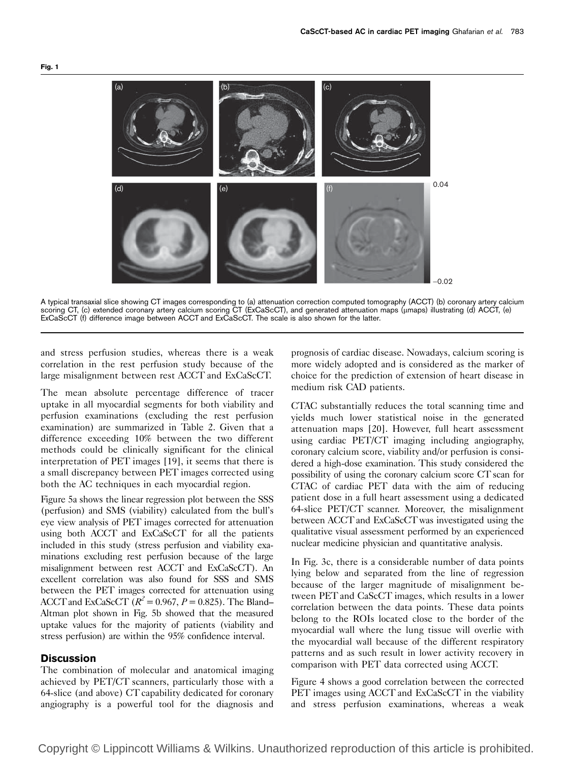

A typical transaxial slice showing CT images corresponding to (a) attenuation correction computed tomography (ACCT) (b) coronary artery calcium scoring CT, (c) extended coronary artery calcium scoring CT (ExCaScCT), and generated attenuation maps (mmaps) illustrating (d) ACCT, (e) ExCaScCT (f) difference image between ACCT and ExCaScCT. The scale is also shown for the latter.

and stress perfusion studies, whereas there is a weak correlation in the rest perfusion study because of the large misalignment between rest ACCT and ExCaScCT.

The mean absolute percentage difference of tracer uptake in all myocardial segments for both viability and perfusion examinations (excluding the rest perfusion examination) are summarized in Table 2. Given that a difference exceeding 10% between the two different methods could be clinically significant for the clinical interpretation of PET images [19], it seems that there is a small discrepancy between PET images corrected using both the AC techniques in each myocardial region.

Figure 5a shows the linear regression plot between the SSS (perfusion) and SMS (viability) calculated from the bull's eye view analysis of PET images corrected for attenuation using both ACCT and ExCaScCT for all the patients included in this study (stress perfusion and viability examinations excluding rest perfusion because of the large misalignment between rest ACCT and ExCaScCT). An excellent correlation was also found for SSS and SMS between the PET images corrected for attenuation using ACCT and ExCaScCT  $(R^2 = 0.967, P = 0.825)$ . The Bland– Altman plot shown in Fig. 5b showed that the measured uptake values for the majority of patients (viability and stress perfusion) are within the 95% confidence interval.

### **Discussion**

The combination of molecular and anatomical imaging achieved by PET/CT scanners, particularly those with a 64-slice (and above) CT capability dedicated for coronary angiography is a powerful tool for the diagnosis and

prognosis of cardiac disease. Nowadays, calcium scoring is more widely adopted and is considered as the marker of choice for the prediction of extension of heart disease in medium risk CAD patients.

CTAC substantially reduces the total scanning time and yields much lower statistical noise in the generated attenuation maps [20]. However, full heart assessment using cardiac PET/CT imaging including angiography, coronary calcium score, viability and/or perfusion is considered a high-dose examination. This study considered the possibility of using the coronary calcium score CT scan for CTAC of cardiac PET data with the aim of reducing patient dose in a full heart assessment using a dedicated 64-slice PET/CT scanner. Moreover, the misalignment between ACCT and ExCaScCT was investigated using the qualitative visual assessment performed by an experienced nuclear medicine physician and quantitative analysis.

In Fig. 3c, there is a considerable number of data points lying below and separated from the line of regression because of the larger magnitude of misalignment between PET and CaScCT images, which results in a lower correlation between the data points. These data points belong to the ROIs located close to the border of the myocardial wall where the lung tissue will overlie with the myocardial wall because of the different respiratory patterns and as such result in lower activity recovery in comparison with PET data corrected using ACCT.

Figure 4 shows a good correlation between the corrected PET images using ACCT and ExCaScCT in the viability and stress perfusion examinations, whereas a weak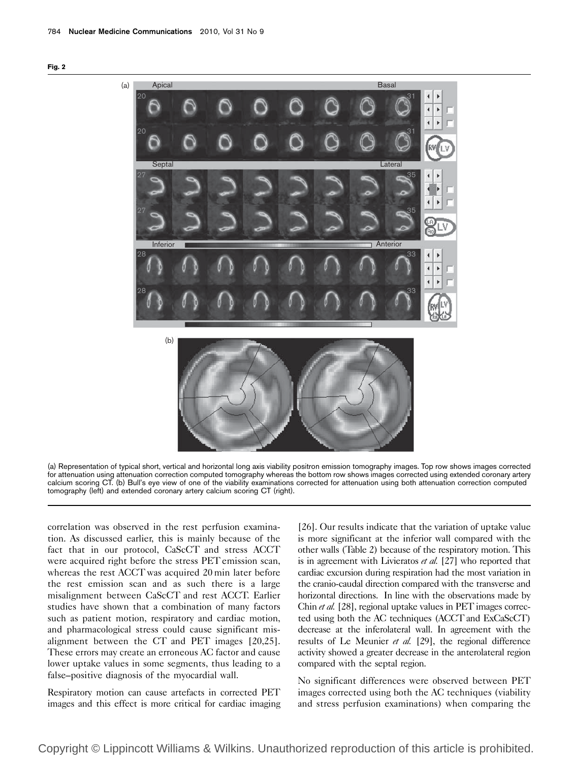



(a) Representation of typical short, vertical and horizontal long axis viability positron emission tomography images. Top row shows images corrected for attenuation using attenuation correction computed tomography whereas the bottom row shows images corrected using extended coronary artery calcium scoring CT. (b) Bull's eye view of one of the viability examinations corrected for attenuation using both attenuation correction computed tomography (left) and extended coronary artery calcium scoring CT (right).

correlation was observed in the rest perfusion examination. As discussed earlier, this is mainly because of the fact that in our protocol, CaScCT and stress ACCT were acquired right before the stress PET emission scan, whereas the rest ACCT was acquired 20 min later before the rest emission scan and as such there is a large misalignment between CaScCT and rest ACCT. Earlier studies have shown that a combination of many factors such as patient motion, respiratory and cardiac motion, and pharmacological stress could cause significant misalignment between the CT and PET images [20,25]. These errors may create an erroneous AC factor and cause lower uptake values in some segments, thus leading to a false–positive diagnosis of the myocardial wall.

Respiratory motion can cause artefacts in corrected PET images and this effect is more critical for cardiac imaging

[26]. Our results indicate that the variation of uptake value is more significant at the inferior wall compared with the other walls (Table 2) because of the respiratory motion. This is in agreement with Livieratos et al. [27] who reported that cardiac excursion during respiration had the most variation in the cranio-caudal direction compared with the transverse and horizontal directions. In line with the observations made by Chin et al. [28], regional uptake values in PET images corrected using both the AC techniques (ACCT and ExCaScCT) decrease at the inferolateral wall. In agreement with the results of Le Meunier et al. [29], the regional difference activity showed a greater decrease in the anterolateral region compared with the septal region.

No significant differences were observed between PET images corrected using both the AC techniques (viability and stress perfusion examinations) when comparing the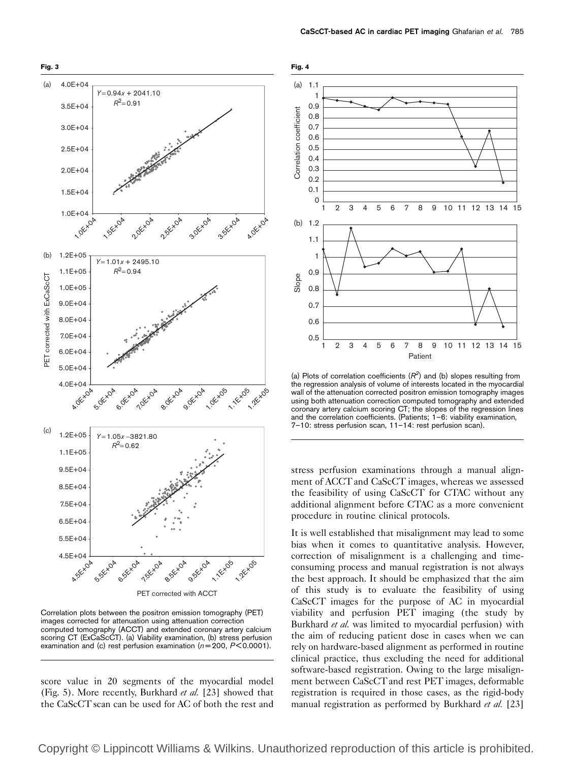

Correlation plots between the positron emission tomography (PET) images corrected for attenuation using attenuation correction computed tomography (ACCT) and extended coronary artery calcium scoring CT (ExCaScCT). (a) Viability examination, (b) stress perfusion examination and (c) rest perfusion examination ( $n = 200$ ,  $P < 0.0001$ ).

score value in 20 segments of the myocardial model (Fig. 5). More recently, Burkhard et al. [23] showed that the CaScCT scan can be used for AC of both the rest and



(a) Plots of correlation coefficients  $(R<sup>2</sup>)$  and (b) slopes resulting from the regression analysis of volume of interests located in the myocardial wall of the attenuation corrected positron emission tomography images using both attenuation correction computed tomography and extended coronary artery calcium scoring CT; the slopes of the regression lines and the correlation coefficients. (Patients; 1–6: viability examination, 7–10: stress perfusion scan, 11–14: rest perfusion scan).

stress perfusion examinations through a manual alignment of ACCT and CaScCT images, whereas we assessed the feasibility of using CaScCT for CTAC without any additional alignment before CTAC as a more convenient procedure in routine clinical protocols.

It is well established that misalignment may lead to some bias when it comes to quantitative analysis. However, correction of misalignment is a challenging and timeconsuming process and manual registration is not always the best approach. It should be emphasized that the aim of this study is to evaluate the feasibility of using CaScCT images for the purpose of AC in myocardial viability and perfusion PET imaging (the study by Burkhard et al. was limited to myocardial perfusion) with the aim of reducing patient dose in cases when we can rely on hardware-based alignment as performed in routine clinical practice, thus excluding the need for additional software-based registration. Owing to the large misalignment between CaScCT and rest PET images, deformable registration is required in those cases, as the rigid-body manual registration as performed by Burkhard et al. [23]

Copyright © Lippincott Williams & Wilkins. Unauthorized reproduction of this article is prohibited.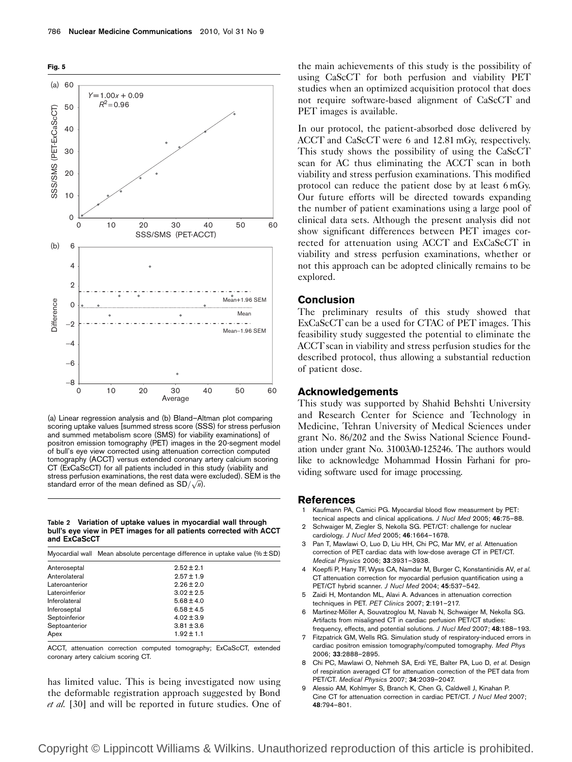

(a) Linear regression analysis and (b) Bland–Altman plot comparing scoring uptake values [summed stress score (SSS) for stress perfusion and summed metabolism score (SMS) for viability examinations] of positron emission tomography (PET) images in the 20-segment model of bull's eye view corrected using attenuation correction computed tomography (ACCT) versus extended coronary artery calcium scoring CT (ExCaScCT) for all patients included in this study (viability and stress perfusion examinations, the rest data were excluded). SEM is the stress perfusion examinations, the rest data were<br>standard error of the mean defined as  $SD/\sqrt{n}$ .

Table 2 Variation of uptake values in myocardial wall through bull's eye view in PET images for all patients corrected with ACCT and ExCaScCT

|  | Myocardial wall Mean absolute percentage difference in uptake value ( $% \pm SD$ ) |  |
|--|------------------------------------------------------------------------------------|--|
|--|------------------------------------------------------------------------------------|--|

| Anteroseptal   | $2.52 \pm 2.1$ |
|----------------|----------------|
| Anterolateral  | $2.57 \pm 1.9$ |
| Lateroanterior | $2.26 \pm 2.0$ |
| Lateroinferior | $3.02 \pm 2.5$ |
| Inferolateral  | $5.68 \pm 4.0$ |
| Inferoseptal   | $6.58 \pm 4.5$ |
| Septoinferior  | $4.02 \pm 3.9$ |
| Septoanterior  | $3.81 \pm 3.6$ |
| Apex           | $1.92 \pm 1.1$ |

ACCT, attenuation correction computed tomography; ExCaScCT, extended coronary artery calcium scoring CT.

has limited value. This is being investigated now using the deformable registration approach suggested by Bond et al. [30] and will be reported in future studies. One of the main achievements of this study is the possibility of using CaScCT for both perfusion and viability PET studies when an optimized acquisition protocol that does not require software-based alignment of CaScCT and PET images is available.

In our protocol, the patient-absorbed dose delivered by ACCT and CaScCT were 6 and 12.81 mGy, respectively. This study shows the possibility of using the CaScCT scan for AC thus eliminating the ACCT scan in both viability and stress perfusion examinations. This modified protocol can reduce the patient dose by at least 6 mGy. Our future efforts will be directed towards expanding the number of patient examinations using a large pool of clinical data sets. Although the present analysis did not show significant differences between PET images corrected for attenuation using ACCT and ExCaScCT in viability and stress perfusion examinations, whether or not this approach can be adopted clinically remains to be explored.

#### Conclusion

The preliminary results of this study showed that ExCaScCT can be a used for CTAC of PET images. This feasibility study suggested the potential to eliminate the ACCT scan in viability and stress perfusion studies for the described protocol, thus allowing a substantial reduction of patient dose.

#### Acknowledgements

This study was supported by Shahid Behshti University and Research Center for Science and Technology in Medicine, Tehran University of Medical Sciences under grant No. 86/202 and the Swiss National Science Foundation under grant No. 31003A0-125246. The authors would like to acknowledge Mohammad Hossin Farhani for providing software used for image processing.

#### References

- Kaufmann PA, Camici PG. Myocardial blood flow measurment by PET: tecnical aspects and clinical applications. J Nucl Med 2005; 46:75–88.
- 2 Schwaiger M, Ziegler S, Nekolla SG. PET/CT: challenge for nuclear cardiology. J Nucl Med 2005; 46:1664–1678.
- Pan T, Mawlawi O, Luo D, Liu HH, Chi PC, Mar MV, et al. Attenuation correction of PET cardiac data with low-dose average CT in PET/CT. Medical Physics 2006; 33:3931–3938.
- Koepfli P, Hany TF, Wyss CA, Namdar M, Burger C, Konstantinidis AV, et al. CT attenuation correction for myocardial perfusion quantification using a PET/CT hybrid scanner. J Nucl Med 2004; 45:537–542.
- Zaidi H, Montandon ML, Alavi A. Advances in attenuation correction techniques in PET. PET Clinics 2007; 2:191–217.
- 6 Martinez-Möller A, Souvatzoglou M, Navab N, Schwaiger M, Nekolla SG. Artifacts from misaligned CT in cardiac perfusion PET/CT studies: frequency, effects, and potential solutions. J Nucl Med 2007; 48:188-193.
- 7 Fitzpatrick GM, Wells RG. Simulation study of respiratory-induced errors in cardiac positron emission tomography/computed tomography. Med Phys 2006; 33:2888–2895.
- 8 Chi PC, Mawlawi O, Nehmeh SA, Erdi YE, Balter PA, Luo D, et al. Design of respiration averaged CT for attenuation correction of the PET data from PET/CT. Medical Physics 2007; 34:2039–2047.
- 9 Alessio AM, Kohlmyer S, Branch K, Chen G, Caldwell J, Kinahan P. Cine CT for attenuation correction in cardiac PET/CT. J Nucl Med 2007; 48:794–801.